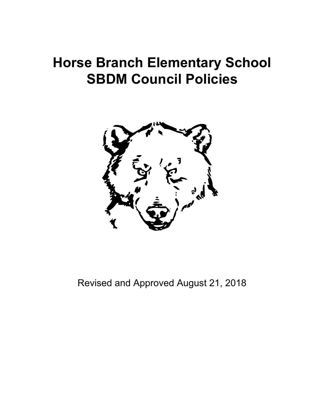# **Horse Branch Elementary School SBDM Council Policies**



Revised and Approved August 21, 2018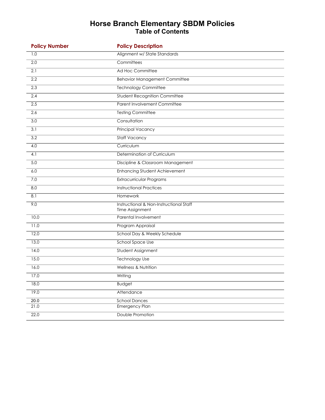#### **Horse Branch Elementary SBDM Policies Table of Contents**

| <b>Policy Number</b> | <b>Policy Description</b>                                  |
|----------------------|------------------------------------------------------------|
| 1.0                  | Alignment w/ State Standards                               |
| $\overline{2.0}$     | Committees                                                 |
| 2.1                  | Ad Hoc Committee                                           |
| 2.2                  | <b>Behavior Management Committee</b>                       |
| 2.3                  | <b>Technology Committee</b>                                |
| 2.4                  | <b>Student Recognition Committee</b>                       |
| 2.5                  | <b>Parent Involvement Committee</b>                        |
| 2.6                  | <b>Testing Committee</b>                                   |
| 3.0                  | Consultation                                               |
| 3.1                  | <b>Principal Vacancy</b>                                   |
| 3.2                  | <b>Staff Vacancy</b>                                       |
| 4.0                  | Curriculum                                                 |
| 4.1                  | Determination of Curriculum                                |
| 5.0                  | Discipline & Classroom Management                          |
| 6.0                  | <b>Enhancing Student Achievement</b>                       |
| 7.0                  | Extracurricular Programs                                   |
| 8.0                  | <b>Instructional Practices</b>                             |
| 8.1                  | Homework                                                   |
| 9.0                  | Instructional & Non-Instructional Staff<br>Time Assignment |
| 10.0                 | Parental Involvement                                       |
| 11.0                 | Program Appraisal                                          |
| 12.0                 | School Day & Weekly Schedule                               |
| 13.0                 | School Space Use                                           |
| 14.0                 | Student Assignment                                         |
| 15.0                 | <b>Technology Use</b>                                      |
| 16.0                 | Wellness & Nutrition                                       |
| 17.0                 | Writing                                                    |
| 18.0                 | <b>Budget</b>                                              |
| 19.0                 | Attendance                                                 |
| 20.0                 | <b>School Dances</b>                                       |
| 21.0                 | Emergency Plan                                             |
| 22.0                 | Double Promotion                                           |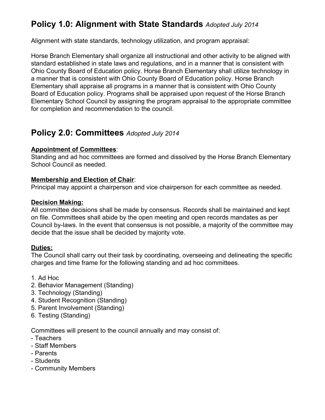# **Policy 1.0: Alignment with State Standards** *Adopted July 2014*

Alignment with state standards, technology utilization, and program appraisal:

Horse Branch Elementary shall organize all instructional and other activity to be aligned with standard established in state laws and regulations, and in a manner that is consistent with Ohio County Board of Education policy. Horse Branch Elementary shall utilize technology in a manner that is consistent with Ohio County Board of Education policy. Horse Branch Elementary shall appraise all programs in a manner that is consistent with Ohio County Board of Education policy. Programs shall be appraised upon request of the Horse Branch Elementary School Council by assigning the program appraisal to the appropriate committee for completion and recommendation to the council.

### **Policy 2.0: Committees** *Adopted July 2014*

#### **Appointment of Committees**:

Standing and ad hoc committees are formed and dissolved by the Horse Branch Elementary School Council as needed.

#### **Membership and Election of Chair**:

Principal may appoint a chairperson and vice chairperson for each committee as needed.

#### **Decision Making:**

All committee decisions shall be made by consensus. Records shall be maintained and kept on file. Committees shall abide by the open meeting and open records mandates as per Council by-laws. In the event that consensus is not possible, a majority of the committee may decide that the issue shall be decided by majority vote.

#### **Duties:**

The Council shall carry out their task by coordinating, overseeing and delineating the specific charges and time frame for the following standing and ad hoc committees.

#### 1. Ad Hoc

- 2. Behavior Management (Standing)
- 3. Technology (Standing)
- 4. Student Recognition (Standing)
- 5. Parent Involvement (Standing)
- 6. Testing (Standing)

Committees will present to the council annually and may consist of:

- Teachers
- Staff Members
- Parents
- Students
- Community Members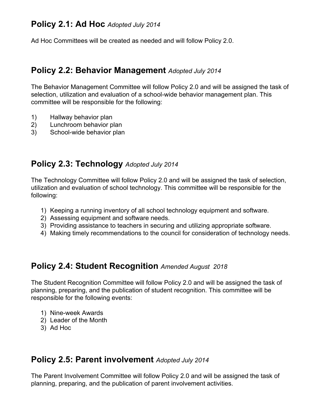#### **Policy 2.1: Ad Hoc** *Adopted July 2014*

Ad Hoc Committees will be created as needed and will follow Policy 2.0.

#### **Policy 2.2: Behavior Management** *Adopted July 2014*

The Behavior Management Committee will follow Policy 2.0 and will be assigned the task of selection, utilization and evaluation of a school-wide behavior management plan. This committee will be responsible for the following:

- 1) Hallway behavior plan
- 2) Lunchroom behavior plan
- 3) School-wide behavior plan

#### **Policy 2.3: Technology** *Adopted July 2014*

The Technology Committee will follow Policy 2.0 and will be assigned the task of selection, utilization and evaluation of school technology. This committee will be responsible for the following:

- 1) Keeping a running inventory of all school technology equipment and software.
- 2) Assessing equipment and software needs.
- 3) Providing assistance to teachers in securing and utilizing appropriate software.
- 4) Making timely recommendations to the council for consideration of technology needs.

#### **Policy 2.4: Student Recognition** *Amended August 2018*

The Student Recognition Committee will follow Policy 2.0 and will be assigned the task of planning, preparing, and the publication of student recognition. This committee will be responsible for the following events:

- 1) Nine-week Awards
- 2) Leader of the Month
- 3) Ad Hoc

#### **Policy 2.5: Parent involvement** *Adopted July 2014*

The Parent Involvement Committee will follow Policy 2.0 and will be assigned the task of planning, preparing, and the publication of parent involvement activities.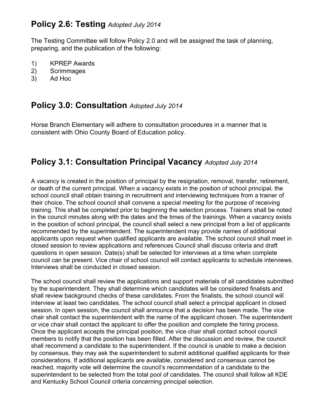### **Policy 2.6: Testing** *Adopted July 2014*

The Testing Committee will follow Policy 2.0 and will be assigned the task of planning, preparing, and the publication of the following:

- 1) KPREP Awards
- 2) Scrimmages
- 3) Ad Hoc

### **Policy 3.0: Consultation** *Adopted July 2014*

Horse Branch Elementary will adhere to consultation procedures in a manner that is consistent with Ohio County Board of Education policy.

### **Policy 3.1: Consultation Principal Vacancy** *Adopted July 2014*

A vacancy is created in the position of principal by the resignation, removal, transfer, retirement, or death of the current principal. When a vacancy exists in the position of school principal, the school council shall obtain training in recruitment and interviewing techniques from a trainer of their choice. The school council shall convene a special meeting for the purpose of receiving training. This shall be completed prior to beginning the selection process. Trainers shall be noted in the council minutes along with the dates and the times of the trainings. When a vacancy exists in the position of school principal, the council shall select a new principal from a list of applicants recommended by the superintendent. The superintendent may provide names of additional applicants upon request when qualified applicants are available. The school council shall meet in closed session to review applications and references Council shall discuss criteria and draft questions in open session. Date(s) shall be selected for interviews at a time when complete council can be present. Vice chair of school council will contact applicants to schedule interviews. Interviews shall be conducted in closed session.

The school council shall review the applications and support materials of all candidates submitted by the superintendent. They shall determine which candidates will be considered finalists and shall review background checks of these candidates. From the finalists, the school council will interview at least two candidates. The school council shall select a principal applicant in closed session. In open session, the council shall announce that a decision has been made. The vice chair shall contact the superintendent with the name of the applicant chosen. The superintendent or vice chair shall contact the applicant to offer the position and complete the hiring process. Once the applicant accepts the principal position, the vice chair shall contact school council members to notify that the position has been filled. After the discussion and review, the council shall recommend a candidate to the superintendent. If the council is unable to make a decision by consensus, they may ask the superintendent to submit additional qualified applicants for their considerations. If additional applicants are available, considered and consensus cannot be reached, majority vote will determine the council's recommendation of a candidate to the superintendent to be selected from the total pool of candidates. The council shall follow all KDE and Kentucky School Council criteria concerning principal selection.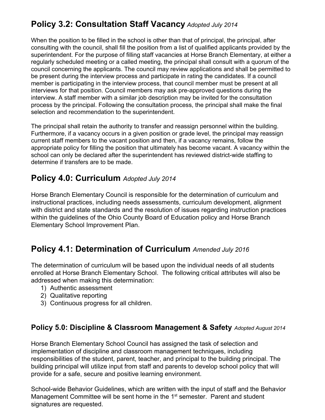# **Policy 3.2: Consultation Staff Vacancy** *Adopted July 2014*

When the position to be filled in the school is other than that of principal, the principal, after consulting with the council, shall fill the position from a list of qualified applicants provided by the superintendent. For the purpose of filling staff vacancies at Horse Branch Elementary, at either a regularly scheduled meeting or a called meeting, the principal shall consult with a quorum of the council concerning the applicants. The council may review applications and shall be permitted to be present during the interview process and participate in rating the candidates. If a council member is participating in the interview process, that council member must be present at all interviews for that position. Council members may ask pre-approved questions during the interview. A staff member with a similar job description may be invited for the consultation process by the principal. Following the consultation process, the principal shall make the final selection and recommendation to the superintendent.

The principal shall retain the authority to transfer and reassign personnel within the building. Furthermore, if a vacancy occurs in a given position or grade level, the principal may reassign current staff members to the vacant position and then, if a vacancy remains, follow the appropriate policy for filling the position that ultimately has become vacant. A vacancy within the school can only be declared after the superintendent has reviewed district-wide staffing to determine if transfers are to be made.

### **Policy 4.0: Curriculum** *Adopted July 2014*

Horse Branch Elementary Council is responsible for the determination of curriculum and instructional practices, including needs assessments, curriculum development, alignment with district and state standards and the resolution of issues regarding instruction practices within the guidelines of the Ohio County Board of Education policy and Horse Branch Elementary School Improvement Plan.

# **Policy 4.1: Determination of Curriculum** *Amended July 2016*

The determination of curriculum will be based upon the individual needs of all students enrolled at Horse Branch Elementary School. The following critical attributes will also be addressed when making this determination:

- 1) Authentic assessment
- 2) Qualitative reporting
- 3) Continuous progress for all children.

#### **Policy 5.0: Discipline & Classroom Management & Safety** *Adopted August 2014*

Horse Branch Elementary School Council has assigned the task of selection and implementation of discipline and classroom management techniques, including responsibilities of the student, parent, teacher, and principal to the building principal. The building principal will utilize input from staff and parents to develop school policy that will provide for a safe, secure and positive learning environment.

School-wide Behavior Guidelines, which are written with the input of staff and the Behavior Management Committee will be sent home in the 1<sup>st</sup> semester. Parent and student signatures are requested.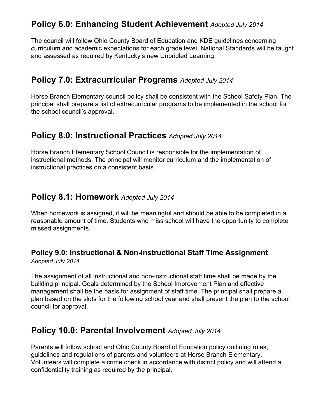### **Policy 6.0: Enhancing Student Achievement** *Adopted July 2014*

The council will follow Ohio County Board of Education and KDE guidelines concerning curriculum and academic expectations for each grade level. National Standards will be taught and assessed as required by Kentucky's new Unbridled Learning.

#### **Policy 7.0: Extracurricular Programs** *Adopted July 2014*

Horse Branch Elementary council policy shall be consistent with the School Safety Plan. The principal shall prepare a list of extracurricular programs to be implemented in the school for the school council's approval.

### **Policy 8.0: Instructional Practices** *Adopted July 2014*

Horse Branch Elementary School Council is responsible for the implementation of instructional methods. The principal will monitor curriculum and the implementation of instructional practices on a consistent basis.

#### **Policy 8.1: Homework** *Adopted July 2014*

When homework is assigned, it will be meaningful and should be able to be completed in a reasonable amount of time. Students who miss school will have the opportunity to complete missed assignments.

#### **Policy 9.0: Instructional & Non-Instructional Staff Time Assignment** *Adopted July 2014*

The assignment of all instructional and non-instructional staff time shall be made by the building principal. Goals determined by the School Improvement Plan and effective management shall be the basis for assignment of staff time. The principal shall prepare a plan based on the slots for the following school year and shall present the plan to the school council for approval.

### **Policy 10.0: Parental Involvement** *Adopted July 2014*

Parents will follow school and Ohio County Board of Education policy outlining rules, guidelines and regulations of parents and volunteers at Horse Branch Elementary. Volunteers will complete a crime check in accordance with district policy and will attend a confidentiality training as required by the principal.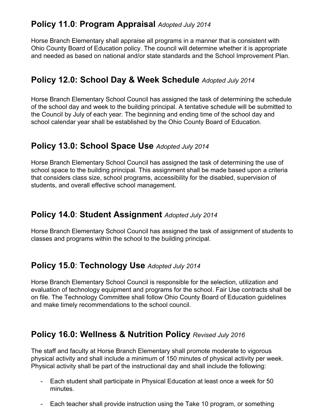# **Policy 11.0**: **Program Appraisal** *Adopted July 2014*

Horse Branch Elementary shall appraise all programs in a manner that is consistent with Ohio County Board of Education policy. The council will determine whether it is appropriate and needed as based on national and/or state standards and the School Improvement Plan.

### **Policy 12.0: School Day & Week Schedule** *Adopted July 2014*

Horse Branch Elementary School Council has assigned the task of determining the schedule of the school day and week to the building principal. A tentative schedule will be submitted to the Council by July of each year. The beginning and ending time of the school day and school calendar year shall be established by the Ohio County Board of Education.

#### **Policy 13.0: School Space Use** *Adopted July 2014*

Horse Branch Elementary School Council has assigned the task of determining the use of school space to the building principal. This assignment shall be made based upon a criteria that considers class size, school programs, accessibility for the disabled, supervision of students, and overall effective school management.

### **Policy 14.0**: **Student Assignment** *Adopted July 2014*

Horse Branch Elementary School Council has assigned the task of assignment of students to classes and programs within the school to the building principal.

### **Policy 15.0**: **Technology Use** *Adopted July 2014*

Horse Branch Elementary School Council is responsible for the selection, utilization and evaluation of technology equipment and programs for the school. Fair Use contracts shall be on file. The Technology Committee shall follow Ohio County Board of Education guidelines and make timely recommendations to the school council.

### **Policy 16.0: Wellness & Nutrition Policy** *Revised July 2016*

The staff and faculty at Horse Branch Elementary shall promote moderate to vigorous physical activity and shall include a minimum of 150 minutes of physical activity per week. Physical activity shall be part of the instructional day and shall include the following:

- Each student shall participate in Physical Education at least once a week for 50 minutes.
- Each teacher shall provide instruction using the Take 10 program, or something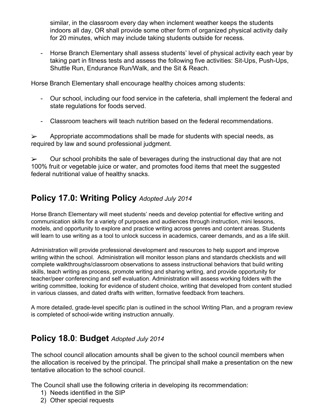similar, in the classroom every day when inclement weather keeps the students indoors all day, OR shall provide some other form of organized physical activity daily for 20 minutes, which may include taking students outside for recess.

- Horse Branch Elementary shall assess students' level of physical activity each year by taking part in fitness tests and assess the following five activities: Sit-Ups, Push-Ups, Shuttle Run, Endurance Run/Walk, and the Sit & Reach.

Horse Branch Elementary shall encourage healthy choices among students:

- Our school, including our food service in the cafeteria, shall implement the federal and state regulations for foods served.
- Classroom teachers will teach nutrition based on the federal recommendations.

 $\triangleright$  Appropriate accommodations shall be made for students with special needs, as required by law and sound professional judgment.

 $\triangleright$  Our school prohibits the sale of beverages during the instructional day that are not 100% fruit or vegetable juice or water, and promotes food items that meet the suggested federal nutritional value of healthy snacks.

# **Policy 17.0: Writing Policy** *Adopted July 2014*

Horse Branch Elementary will meet students' needs and develop potential for effective writing and communication skills for a variety of purposes and audiences through instruction, mini lessons, models, and opportunity to explore and practice writing across genres and content areas. Students will learn to use writing as a tool to unlock success in academics, career demands, and as a life skill.

Administration will provide professional development and resources to help support and improve writing within the school. Administration will monitor lesson plans and standards checklists and will complete walkthroughs/classroom observations to assess instructional behaviors that build writing skills, teach writing as process, promote writing and sharing writing, and provide opportunity for teacher/peer conferencing and self evaluation. Administration will assess working folders with the writing committee, looking for evidence of student choice, writing that developed from content studied in various classes, and dated drafts with written, formative feedback from teachers.

A more detailed, grade-level specific plan is outlined in the school Writing Plan, and a program review is completed of school-wide writing instruction annually.

# **Policy 18.0**: **Budget** *Adopted July 2014*

The school council allocation amounts shall be given to the school council members when the allocation is received by the principal. The principal shall make a presentation on the new tentative allocation to the school council.

The Council shall use the following criteria in developing its recommendation:

- 1) Needs identified in the SIP
- 2) Other special requests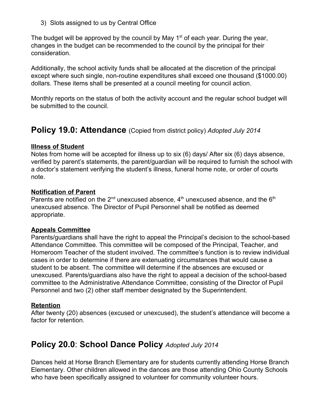3) Slots assigned to us by Central Office

The budget will be approved by the council by May  $1<sup>st</sup>$  of each year. During the year, changes in the budget can be recommended to the council by the principal for their consideration.

Additionally, the school activity funds shall be allocated at the discretion of the principal except where such single, non-routine expenditures shall exceed one thousand (\$1000.00) dollars. These items shall be presented at a council meeting for council action.

Monthly reports on the status of both the activity account and the regular school budget will be submitted to the council.

### **Policy 19.0: Attendance** (Copied from district policy) *Adopted July 2014*

#### **Illness of Student**

Notes from home will be accepted for illness up to six (6) days/ After six (6) days absence, verified by parent's statements, the parent/guardian will be required to furnish the school with a doctor's statement verifying the student's illness, funeral home note, or order of courts note.

#### **Notification of Parent**

Parents are notified on the 2<sup>nd</sup> unexcused absence,  $4<sup>th</sup>$  unexcused absence, and the 6<sup>th</sup> unexcused absence. The Director of Pupil Personnel shall be notified as deemed appropriate.

#### **Appeals Committee**

Parents/guardians shall have the right to appeal the Principal's decision to the school-based Attendance Committee. This committee will be composed of the Principal, Teacher, and Homeroom Teacher of the student involved. The committee's function is to review individual cases in order to determine if there are extenuating circumstances that would cause a student to be absent. The committee will determine if the absences are excused or unexcused. Parents/guardians also have the right to appeal a decision of the school-based committee to the Administrative Attendance Committee, consisting of the Director of Pupil Personnel and two (2) other staff member designated by the Superintendent.

#### **Retention**

After twenty (20) absences (excused or unexcused), the student's attendance will become a factor for retention.

### **Policy 20.0**: **School Dance Policy** *Adopted July 2014*

Dances held at Horse Branch Elementary are for students currently attending Horse Branch Elementary. Other children allowed in the dances are those attending Ohio County Schools who have been specifically assigned to volunteer for community volunteer hours.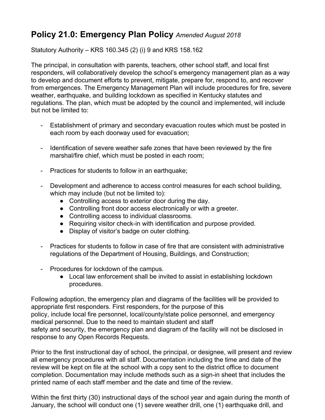# **Policy 21.0: Emergency Plan Policy** *Amended August 2018*

Statutory Authority – KRS 160.345 (2) (i) 9 and KRS 158.162

The principal, in consultation with parents, teachers, other school staff, and local first responders, will collaboratively develop the school's emergency management plan as a way to develop and document efforts to prevent, mitigate, prepare for, respond to, and recover from emergences. The Emergency Management Plan will include procedures for fire, severe weather, earthquake, and building lockdown as specified in Kentucky statutes and regulations. The plan, which must be adopted by the council and implemented, will include but not be limited to:

- Establishment of primary and secondary evacuation routes which must be posted in each room by each doorway used for evacuation;
- Identification of severe weather safe zones that have been reviewed by the fire marshal/fire chief, which must be posted in each room;
- Practices for students to follow in an earthquake;
- Development and adherence to access control measures for each school building, which may include (but not be limited to):
	- Controlling access to exterior door during the day.
	- Controlling front door access electronically or with a greeter.
	- Controlling access to individual classrooms.
	- Requiring visitor check-in with identification and purpose provided.
	- Display of visitor's badge on outer clothing.
- Practices for students to follow in case of fire that are consistent with administrative regulations of the Department of Housing, Buildings, and Construction;
- Procedures for lockdown of the campus.
	- Local law enforcement shall be invited to assist in establishing lockdown procedures.

Following adoption, the emergency plan and diagrams of the facilities will be provided to appropriate first responders. First responders, for the purpose of this policy, include local fire personnel, local/county/state police personnel, and emergency medical personnel. Due to the need to maintain student and staff safety and security, the emergency plan and diagram of the facility will not be disclosed in response to any Open Records Requests.

Prior to the first instructional day of school, the principal, or designee, will present and review all emergency procedures with all staff. Documentation including the time and date of the review will be kept on file at the school with a copy sent to the district office to document completion. Documentation may include methods such as a sign-in sheet that includes the printed name of each staff member and the date and time of the review.

Within the first thirty (30) instructional days of the school year and again during the month of January, the school will conduct one (1) severe weather drill, one (1) earthquake drill, and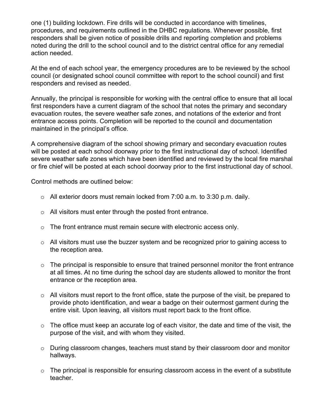one (1) building lockdown. Fire drills will be conducted in accordance with timelines, procedures, and requirements outlined in the DHBC regulations. Whenever possible, first responders shall be given notice of possible drills and reporting completion and problems noted during the drill to the school council and to the district central office for any remedial action needed.

At the end of each school year, the emergency procedures are to be reviewed by the school council (or designated school council committee with report to the school council) and first responders and revised as needed.

Annually, the principal is responsible for working with the central office to ensure that all local first responders have a current diagram of the school that notes the primary and secondary evacuation routes, the severe weather safe zones, and notations of the exterior and front entrance access points. Completion will be reported to the council and documentation maintained in the principal's office.

A comprehensive diagram of the school showing primary and secondary evacuation routes will be posted at each school doorway prior to the first instructional day of school. Identified severe weather safe zones which have been identified and reviewed by the local fire marshal or fire chief will be posted at each school doorway prior to the first instructional day of school.

Control methods are outlined below:

- o All exterior doors must remain locked from 7:00 a.m. to 3:30 p.m. daily.
- o All visitors must enter through the posted front entrance.
- o The front entrance must remain secure with electronic access only.
- o All visitors must use the buzzer system and be recognized prior to gaining access to the reception area.
- $\circ$  The principal is responsible to ensure that trained personnel monitor the front entrance at all times. At no time during the school day are students allowed to monitor the front entrance or the reception area.
- o All visitors must report to the front office, state the purpose of the visit, be prepared to provide photo identification, and wear a badge on their outermost garment during the entire visit. Upon leaving, all visitors must report back to the front office.
- $\circ$  The office must keep an accurate log of each visitor, the date and time of the visit, the purpose of the visit, and with whom they visited.
- o During classroom changes, teachers must stand by their classroom door and monitor hallways.
- $\circ$  The principal is responsible for ensuring classroom access in the event of a substitute teacher.